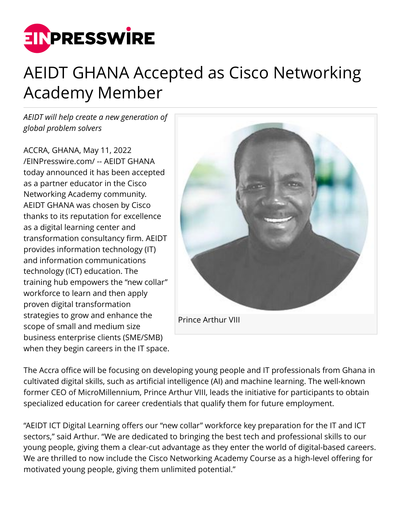

## AEIDT GHANA Accepted as Cisco Networking Academy Member

*AEIDT will help create a new generation of global problem solvers*

ACCRA, GHANA, May 11, 2022 [/EINPresswire.com/](http://www.einpresswire.com) -- AEIDT GHANA today announced it has been accepted as a partner educator in the Cisco Networking Academy community. AEIDT GHANA was chosen by Cisco thanks to its reputation for excellence as a digital learning center and transformation consultancy firm. AEIDT provides information technology (IT) and information communications technology (ICT) education. The training hub empowers the "new collar" workforce to learn and then apply proven digital transformation strategies to grow and enhance the scope of small and medium size business enterprise clients (SME/SMB) when they begin careers in the IT space.



The Accra office will be focusing on developing young people and IT professionals from Ghana in cultivated digital skills, such as artificial intelligence (AI) and machine learning. The well-known former CEO of MicroMillennium, Prince Arthur VIII, leads the initiative for participants to obtain specialized education for career credentials that qualify them for future employment.

"AEIDT ICT Digital Learning offers our "new collar" workforce key preparation for the IT and ICT sectors," said Arthur. "We are dedicated to bringing the best tech and professional skills to our young people, giving them a clear-cut advantage as they enter the world of digital-based careers. We are thrilled to now include the Cisco Networking Academy Course as a high-level offering for motivated young people, giving them unlimited potential."